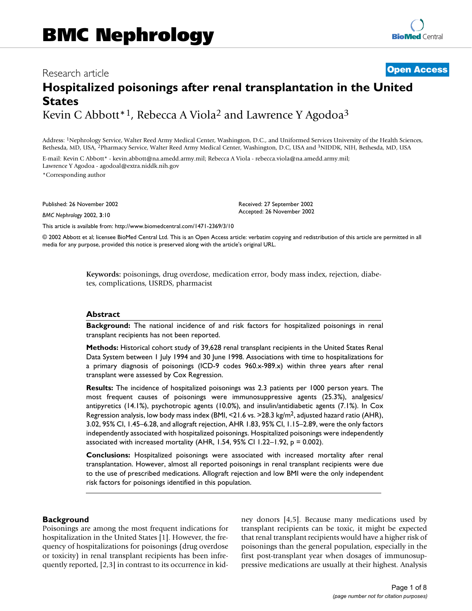## BMC Nephrology 2002, 3 <sup>x</sup> **[Open Access](http://www.biomedcentral.com/info/about/charter/)** Research article

# **Hospitalized poisonings after renal transplantation in the United States** Kevin C Abbott<sup>\*1</sup>, Rebecca A Viola<sup>2</sup> and Lawrence Y Agodoa<sup>3</sup>

Address: 1Nephrology Service, Walter Reed Army Medical Center, Washington, D.C., and Uniformed Services University of the Health Sciences, Bethesda, MD, USA, 2Pharmacy Service, Walter Reed Army Medical Center, Washington, D.C, USA and 3NIDDK, NIH, Bethesda, MD, USA

E-mail: Kevin C Abbott\* - kevin.abbott@na.amedd.army.mil; Rebecca A Viola - rebecca.viola@na.amedd.army.mil; Lawrence Y Agodoa - agodoal@extra.niddk.nih.gov

\*Corresponding author

Published: 26 November 2002

*BMC Nephrology* 2002, **3**:10

Accepted: 26 November 2002

Received: 27 September 2002

[This article is available from: http://www.biomedcentral.com/1471-2369/3/10](http://www.biomedcentral.com/1471-2369/3/10)

© 2002 Abbott et al; licensee BioMed Central Ltd. This is an Open Access article: verbatim copying and redistribution of this article are permitted in all media for any purpose, provided this notice is preserved along with the article's original URL.

> **Keywords:** poisonings, drug overdose, medication error, body mass index, rejection, diabetes, complications, USRDS, pharmacist

#### **Abstract**

**Background:** The national incidence of and risk factors for hospitalized poisonings in renal transplant recipients has not been reported.

**Methods:** Historical cohort study of 39,628 renal transplant recipients in the United States Renal Data System between 1 July 1994 and 30 June 1998. Associations with time to hospitalizations for a primary diagnosis of poisonings (ICD-9 codes 960.x-989.x) within three years after renal transplant were assessed by Cox Regression.

**Results:** The incidence of hospitalized poisonings was 2.3 patients per 1000 person years. The most frequent causes of poisonings were immunosuppressive agents (25.3%), analgesics/ antipyretics (14.1%), psychotropic agents (10.0%), and insulin/antidiabetic agents (7.1%). In Cox Regression analysis, low body mass index (BMI, <21.6 vs. >28.3 kg/m2, adjusted hazard ratio (AHR), 3.02, 95% CI, 1.45–6.28, and allograft rejection, AHR 1.83, 95% CI, 1.15–2.89, were the only factors independently associated with hospitalized poisonings. Hospitalized poisonings were independently associated with increased mortality (AHR, 1.54, 95% CI 1.22-1.92,  $p = 0.002$ ).

**Conclusions:** Hospitalized poisonings were associated with increased mortality after renal transplantation. However, almost all reported poisonings in renal transplant recipients were due to the use of prescribed medications. Allograft rejection and low BMI were the only independent risk factors for poisonings identified in this population.

#### **Background**

Poisonings are among the most frequent indications for hospitalization in the United States [1]. However, the frequency of hospitalizations for poisonings (drug overdose or toxicity) in renal transplant recipients has been infrequently reported, [2,3] in contrast to its occurrence in kidney donors [4,5]. Because many medications used by transplant recipients can be toxic, it might be expected that renal transplant recipients would have a higher risk of poisonings than the general population, especially in the first post-transplant year when dosages of immunosuppressive medications are usually at their highest. Analysis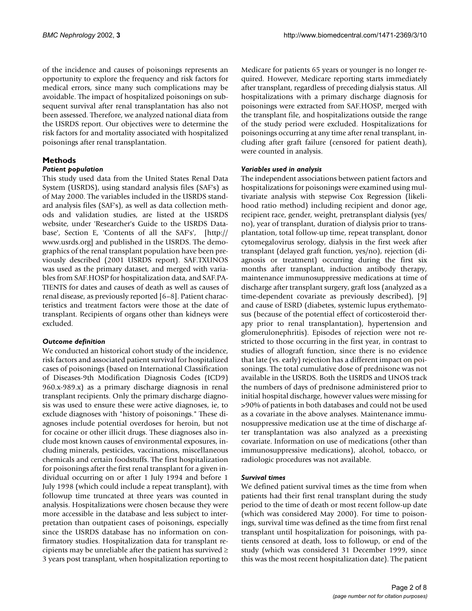of the incidence and causes of poisonings represents an opportunity to explore the frequency and risk factors for medical errors, since many such complications may be avoidable. The impact of hospitalized poisonings on subsequent survival after renal transplantation has also not been assessed. Therefore, we analyzed national diata from the USRDS report. Our objectives were to determine the risk factors for and mortality associated with hospitalized poisonings after renal transplantation.

#### **Methods**

#### *Patient population*

[This study used data from the United States Renal Data](http://www.usrds.org) System (USRDS), using standard analysis files (SAF's) as of May 2000. The variables included in the USRDS standard analysis files (SAF's), as well as data collection methods and validation studies, are listed at the USRDS website, under 'Researcher's Guide to the USRDS Database', Section E, 'Contents of all the SAF's', [http:// www.usrds.org] and published in the USRDS. The demographics of the renal transplant population have been previously described (2001 USRDS report). SAF.TXUNOS was used as the primary dataset, and merged with variables from SAF.HOSP for hospitalization data, and SAF.PA-TIENTS for dates and causes of death as well as causes of renal disease, as previously reported [6–8]. Patient characteristics and treatment factors were those at the date of transplant. Recipients of organs other than kidneys were excluded.

#### *Outcome definition*

We conducted an historical cohort study of the incidence, risk factors and associated patient survival for hospitalized cases of poisonings (based on International Classification of Diseases-9th Modification Diagnosis Codes (ICD9) 960.x-989.x) as a primary discharge diagnosis in renal transplant recipients. Only the primary discharge diagnosis was used to ensure these were active diagnoses, ie, to exclude diagnoses with "history of poisonings." These diagnoses include potential overdoses for heroin, but not for cocaine or other illicit drugs. These diagnoses also include most known causes of environmental exposures, including minerals, pesticides, vaccinations, miscellaneous chemicals and certain foodstuffs. The first hospitalization for poisonings after the first renal transplant for a given individual occurring on or after 1 July 1994 and before 1 July 1998 (which could include a repeat transplant), with followup time truncated at three years was counted in analysis. Hospitalizations were chosen because they were more accessible in the database and less subject to interpretation than outpatient cases of poisonings, especially since the USRDS database has no information on confirmatory studies. Hospitalization data for transplant recipients may be unreliable after the patient has survived  $\geq$ 3 years post transplant, when hospitalization reporting to

Medicare for patients 65 years or younger is no longer required. However, Medicare reporting starts immediately after transplant, regardless of preceding dialysis status. All hospitalizations with a primary discharge diagnosis for poisonings were extracted from SAF.HOSP, merged with the transplant file, and hospitalizations outside the range of the study period were excluded. Hospitalizations for poisonings occurring at any time after renal transplant, including after graft failure (censored for patient death), were counted in analysis.

#### *Variables used in analysis*

The independent associations between patient factors and hospitalizations for poisonings were examined using multivariate analysis with stepwise Cox Regression (likelihood ratio method) including recipient and donor age, recipient race, gender, weight, pretransplant dialysis (yes/ no), year of transplant, duration of dialysis prior to transplantation, total follow-up time, repeat transplant, donor cytomegalovirus serology, dialysis in the first week after transplant (delayed graft function, yes/no), rejection (diagnosis or treatment) occurring during the first six months after transplant, induction antibody therapy, maintenance immunosuppressive medications at time of discharge after transplant surgery, graft loss (analyzed as a time-dependent covariate as previously described), [9] and cause of ESRD (diabetes, systemic lupus erythematosus (because of the potential effect of corticosteroid therapy prior to renal transplantation), hypertension and glomerulonephritis). Episodes of rejection were not restricted to those occurring in the first year, in contrast to studies of allograft function, since there is no evidence that late (vs. early) rejection has a different impact on poisonings. The total cumulative dose of prednisone was not available in the USRDS. Both the USRDS and UNOS track the numbers of days of prednisone administered prior to initial hospital discharge, however values were missing for >90% of patients in both databases and could not be used as a covariate in the above analyses. Maintenance immunosuppressive medication use at the time of discharge after transplantation was also analyzed as a preexisting covariate. Information on use of medications (other than immunosuppressive medications), alcohol, tobacco, or radiologic procedures was not available.

#### *Survival times*

We defined patient survival times as the time from when patients had their first renal transplant during the study period to the time of death or most recent follow-up date (which was considered May 2000). For time to poisonings, survival time was defined as the time from first renal transplant until hospitalization for poisonings, with patients censored at death, loss to followup, or end of the study (which was considered 31 December 1999, since this was the most recent hospitalization date). The patient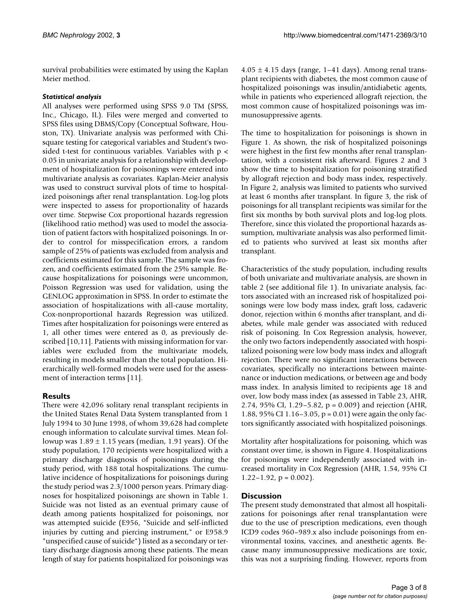survival probabilities were estimated by using the Kaplan Meier method.

#### *Statistical analysis*

All analyses were performed using SPSS 9.0 TM (SPSS, Inc., Chicago, IL). Files were merged and converted to SPSS files using DBMS/Copy (Conceptual Software, Houston, TX). Univariate analysis was performed with Chisquare testing for categorical variables and Student's twosided t-test for continuous variables. Variables with p < 0.05 in univariate analysis for a relationship with development of hospitalization for poisonings were entered into multivariate analysis as covariates. Kaplan-Meier analysis was used to construct survival plots of time to hospitalized poisonings after renal transplantation. Log-log plots were inspected to assess for proportionality of hazards over time. Stepwise Cox proportional hazards regression (likelihood ratio method) was used to model the association of patient factors with hospitalized poisonings. In order to control for misspecification errors, a random sample of 25% of patients was excluded from analysis and coefficients estimated for this sample. The sample was frozen, and coefficients estimated from the 25% sample. Because hospitalizations for poisonings were uncommon, Poisson Regression was used for validation, using the GENLOG approximation in SPSS. In order to estimate the association of hospitalizations with all-cause mortality, Cox-nonproportional hazards Regression was utilized. Times after hospitalization for poisonings were entered as 1, all other times were entered as 0, as previously described [10,11]. Patients with missing information for variables were excluded from the multivariate models, resulting in models smaller than the total population. Hierarchically well-formed models were used for the assessment of interaction terms [11].

## **Results**

There were 42,096 solitary renal transplant recipients in the United States Renal Data System transplanted from 1 July 1994 to 30 June 1998, of whom 39,628 had complete enough information to calculate survival times. Mean followup was  $1.89 \pm 1.15$  years (median, 1.91 years). Of the study population, 170 recipients were hospitalized with a primary discharge diagnosis of poisonings during the study period, with 188 total hospitalizations. The cumulative incidence of hospitalizations for poisonings during the study period was 2.3/1000 person years. Primary diagnoses for hospitalized poisonings are shown in Table [1.](#page-2-0) Suicide was not listed as an eventual primary cause of death among patients hospitalized for poisonings, nor was attempted suicide (E956, "Suicide and self-inflicted injuries by cutting and piercing instrument," or E958.9 "unspecified cause of suicide") listed as a secondary or tertiary discharge diagnosis among these patients. The mean length of stay for patients hospitalized for poisonings was

 $4.05 \pm 4.15$  days (range, 1–41 days). Among renal transplant recipients with diabetes, the most common cause of hospitalized poisonings was insulin/antidiabetic agents, while in patients who experienced allograft rejection, the most common cause of hospitalized poisonings was immunosuppressive agents.

<span id="page-2-0"></span>The time to hospitalization for poisonings is shown in Figure 1. As shown, the risk of hospitalized poisonings were highest in the first few months after renal transplantation, with a consistent risk afterward. Figures 2 and 3 show the time to hospitalization for poisoning stratified by allograft rejection and body mass index, respectively. In Figure 2, analysis was limited to patients who survived at least 6 months after transplant. In figure 3, the risk of poisonings for all transplant recipients was similar for the first six months by both survival plots and log-log plots. Therefore, since this violated the proportional hazards assumption, multivariate analysis was also performed limited to patients who survived at least six months after transplant.

Characteristics of the study population, including results of both univariate and multivariate analysis, are shown in table 2 (see additional file 1). In univariate analysis, factors associated with an increased risk of hospitalized poisonings were low body mass index, graft loss, cadaveric donor, rejection within 6 months after transplant, and diabetes, while male gender was associated with reduced risk of poisoning. In Cox Regression analysis, however, the only two factors independently associated with hospitalized poisoning were low body mass index and allograft rejection. There were no significant interactions between covariates, specifically no interactions between maintenance or induction medications, or between age and body mass index. In analysis limited to recipients age 18 and over, low body mass index (as assessed in Table [2](#page-4-0)3, AHR, 2.74, 95% CI, 1.29–5.82, p = 0.009) and rejection (AHR, 1.88, 95% CI 1.16–3.05, p = 0.01) were again the only factors significantly associated with hospitalized poisonings.

Mortality after hospitalizations for poisoning, which was constant over time, is shown in Figure 4. Hospitalizations for poisonings were independently associated with increased mortality in Cox Regression (AHR, 1.54, 95% CI  $1.22 - 1.92$ ,  $p = 0.002$ ).

## **Discussion**

The present study demonstrated that almost all hospitalizations for poisonings after renal transplantation were due to the use of prescription medications, even though ICD9 codes 960–989.x also include poisonings from environmental toxins, vaccines, and anesthetic agents. Because many immunosuppressive medications are toxic, this was not a surprising finding. However, reports from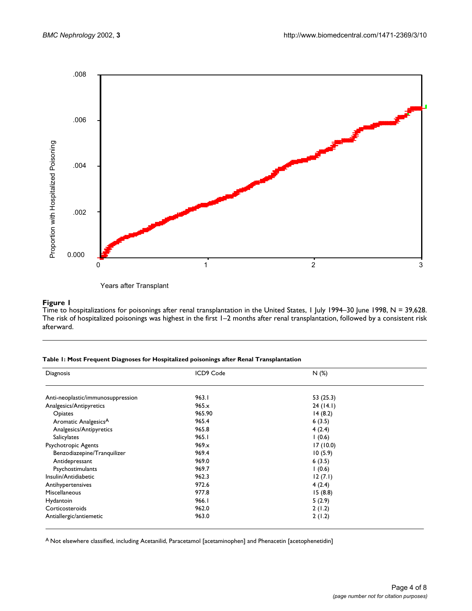

Years after Transplant

#### **Figure 1**

Time to hospitalizations for poisonings after renal transplantation in the United States, 1 July 1994–30 June 1998, N = 39,628. The risk of hospitalized poisonings was highest in the first 1–2 months after renal transplantation, followed by a consistent risk afterward.

|  |  | Table 1: Most Frequent Diagnoses for Hospitalized poisonings after Renal Transplantation |
|--|--|------------------------------------------------------------------------------------------|
|  |  |                                                                                          |

| Diagnosis                         | ICD9 Code | N(%)      |  |
|-----------------------------------|-----------|-----------|--|
| Anti-neoplastic/immunosuppression | 963.1     | 53 (25.3) |  |
| Analgesics/Antipyretics           | 965.x     | 24(14.1)  |  |
| Opiates                           | 965.90    | 14(8.2)   |  |
| Aromatic Analgesics <sup>A</sup>  | 965.4     | 6(3.5)    |  |
| Analgesics/Antipyretics           | 965.8     | 4(2.4)    |  |
| <b>Salicylates</b>                | 965.1     | 1(0.6)    |  |
| Psychotropic Agents               | 969.x     | 17(10.0)  |  |
| Benzodiazepine/Tranquilizer       | 969.4     | 10(5.9)   |  |
| Antidepressant                    | 969.0     | 6(3.5)    |  |
| Psychostimulants                  | 969.7     | 1(0.6)    |  |
| Insulin/Antidiabetic              | 962.3     | 12(7.1)   |  |
| Antihypertensives                 | 972.6     | 4(2.4)    |  |
| Miscellaneous                     | 977.8     | 15(8.8)   |  |
| Hydantoin                         | 966.1     | 5(2.9)    |  |
| Corticosteroids                   | 962.0     | 2(1.2)    |  |
| Antiallergic/antiemetic           | 963.0     | 2(1.2)    |  |

A Not elsewhere classified, including Acetanilid, Paracetamol [acetaminophen] and Phenacetin [acetophenetidin]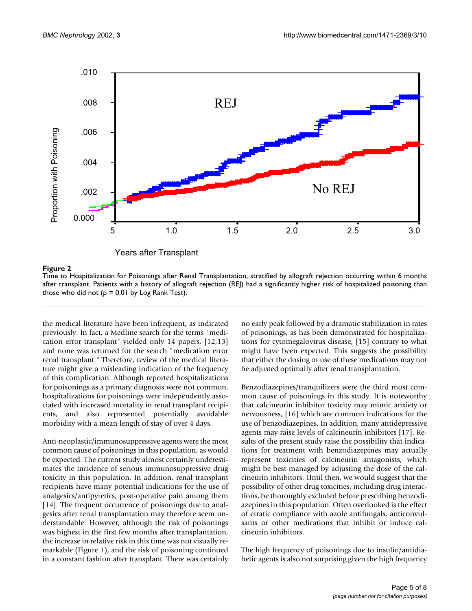

#### **Figure 2**

Time to Hospitalization for Poisonings after Renal Transplantation, stratified by allograft rejection occurring within 6 months after transplant. Patients with a history of allograft rejection (REJ) had a significantly higher risk of hospitalized poisoning than those who did not ( $p = 0.01$  by Log Rank Test).

the medical literature have been infrequent, as indicated previously. In fact, a Medline search for the terms "medication error transplant" yielded only 14 papers, [12,13] and none was returned for the search "medication error renal transplant." Therefore, review of the medical literature might give a misleading indication of the frequency of this complication. Although reported hospitalizations for poisonings as a primary diagnosis were not common, hospitalizations for poisonings were independently associated with increased mortality in renal transplant recipients, and also represented potentially avoidable morbidity with a mean length of stay of over 4 days.

<span id="page-4-0"></span>Anti-neoplastic/immunosuppressive agents were the most common cause of poisonings in this population, as would be expected. The current study almost certainly underestimates the incidence of serious immunosuppressive drug toxicity in this population. In addition, renal transplant recipients have many potential indications for the use of analgesics/antipyretics, post-operative pain among them [14]. The frequent occurrence of poisonings due to analgesics after renal transplantation may therefore seem understandable. However, although the risk of poisonings was highest in the first few months after transplantation, the increase in relative risk in this time was not visually remarkable (Figure 1), and the risk of poisoning continued in a constant fashion after transplant. There was certainly no early peak followed by a dramatic stabilization in rates of poisonings, as has been demonstrated for hospitalizations for cytomegalovirus disease, [15] contrary to what might have been expected. This suggests the possibility that either the dosing or use of these medications may not be adjusted optimally after renal transplantation.

Benzodiazepines/tranquilizers were the third most common cause of poisonings in this study. It is noteworthy that calcineurin inhibitor toxicity may mimic anxiety or nervousness, [16] which are common indications for the use of benzodiazepines. In addition, many antidepressive agents may raise levels of calcineurin inhibitors [17]. Results of the present study raise the possibility that indications for treatment with benzodiazepines may actually represent toxicities of calcineurin antagonists, which might be best managed by adjusting the dose of the calcineurin inhibitors. Until then, we would suggest that the possibility of other drug toxicities, including drug interactions, be thoroughly excluded before prescribing benzodiazepines in this population. Often overlooked is the effect of erratic compliance with azole antifungals, anticonvulsants or other medications that inhibit or induce calcineurin inhibitors.

The high frequency of poisonings due to insulin/antidiabetic agents is also not surprising given the high frequency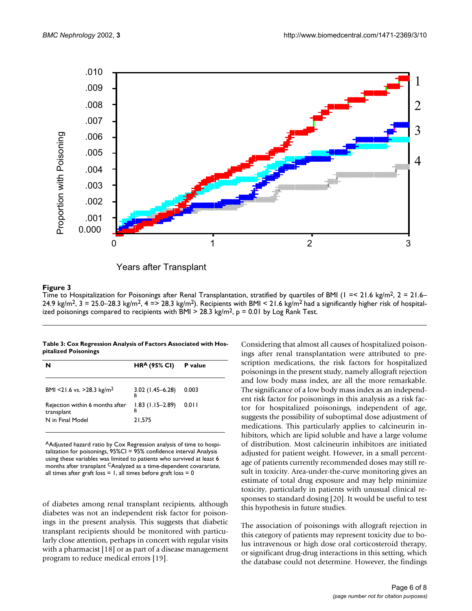

Years after Transplant

#### **Figure 3**

Time to Hospitalization for Poisonings after Renal Transplantation, stratified by quartiles of BMI ( $1 = 521.6$  kg/m<sup>2</sup>,  $2 = 21.6-$ 24.9 kg/m<sup>2</sup>,  $3 = 25.0 - 28.3$  kg/m<sup>2</sup>,  $4 = > 28.3$  kg/m<sup>2</sup>). Recipients with BMI < 21.6 kg/m<sup>2</sup> had a significantly higher risk of hospitalized poisonings compared to recipients with BMI > 28.3 kg/m<sup>2</sup>,  $p = 0.01$  by Log Rank Test.

| Table 3: Cox Regression Analysis of Factors Associated with Hos- |  |
|------------------------------------------------------------------|--|
| pitalized Poisonings                                             |  |

| N                                                                 | HRA(95% CI)                        | P value |
|-------------------------------------------------------------------|------------------------------------|---------|
| BMI <21.6 vs. >28.3 kg/m <sup>2</sup>                             | $3.02$ (1.45-6.28)<br>R            | 0.003   |
| Rejection within 6 months after<br>transplant<br>N in Final Model | $1.83$ (1.15-2.89)<br>R.<br>21,575 | 0.011   |

AAdjusted hazard ratio by Cox Regression analysis of time to hospitalization for poisonings, 95%CI = 95% confidence interval Analysis using these variables was limited to patients who survived at least 6 months after transplant CAnalyzed as a time-dependent covarariate, all times after graft loss =  $1$ , all times before graft loss = 0

of diabetes among renal transplant recipients, although diabetes was not an independent risk factor for poisonings in the present analysis. This suggests that diabetic transplant recipients should be monitored with particularly close attention, perhaps in concert with regular visits with a pharmacist [18] or as part of a disease management program to reduce medical errors [19].

Considering that almost all causes of hospitalized poisonings after renal transplantation were attributed to prescription medications, the risk factors for hospitalized poisonings in the present study, namely allograft rejection and low body mass index, are all the more remarkable. The significance of a low body mass index as an independent risk factor for poisonings in this analysis as a risk factor for hospitalized poisonings, independent of age, suggests the possibility of suboptimal dose adjustment of medications. This particularly applies to calcineurin inhibitors, which are lipid soluble and have a large volume of distribution. Most calcineurin inhibitors are initiated adjusted for patient weight. However, in a small percentage of patients currently recommended doses may still result in toxicity. Area-under-the-curve monitoring gives an estimate of total drug exposure and may help minimize toxicity, particularly in patients with unusual clinical responses to standard dosing [20]. It would be useful to test this hypothesis in future studies.

The association of poisonings with allograft rejection in this category of patients may represent toxicity due to bolus intravenous or high dose oral corticosteroid therapy, or significant drug-drug interactions in this setting, which the database could not determine. However, the findings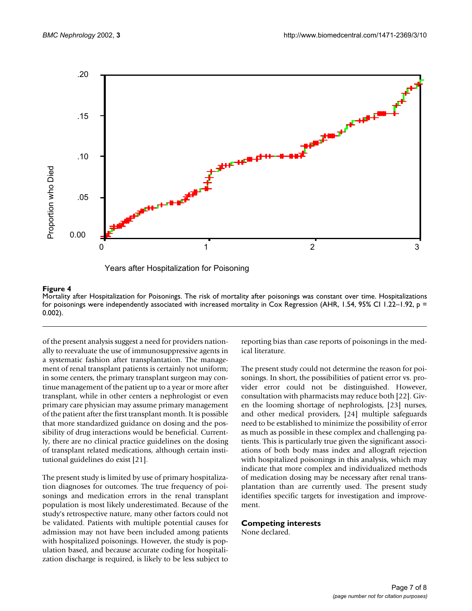

Years after Hospitalization for Poisoning

#### **Figure 4**

Mortality after Hospitalization for Poisonings. The risk of mortality after poisonings was constant over time. Hospitalizations for poisonings were independently associated with increased mortality in Cox Regression (AHR, 1.54, 95% CI 1.22–1.92, p = 0.002).

of the present analysis suggest a need for providers nationally to reevaluate the use of immunosuppressive agents in a systematic fashion after transplantation. The management of renal transplant patients is certainly not uniform; in some centers, the primary transplant surgeon may continue management of the patient up to a year or more after transplant, while in other centers a nephrologist or even primary care physician may assume primary management of the patient after the first transplant month. It is possible that more standardized guidance on dosing and the possibility of drug interactions would be beneficial. Currently, there are no clinical practice guidelines on the dosing of transplant related medications, although certain institutional guidelines do exist [21].

The present study is limited by use of primary hospitalization diagnoses for outcomes. The true frequency of poisonings and medication errors in the renal transplant population is most likely underestimated. Because of the study's retrospective nature, many other factors could not be validated. Patients with multiple potential causes for admission may not have been included among patients with hospitalized poisonings. However, the study is population based, and because accurate coding for hospitalization discharge is required, is likely to be less subject to

reporting bias than case reports of poisonings in the medical literature.

The present study could not determine the reason for poisonings. In short, the possibilities of patient error vs. provider error could not be distinguished. However, consultation with pharmacists may reduce both [22]. Given the looming shortage of nephrologists, [23] nurses, and other medical providers, [24] multiple safeguards need to be established to minimize the possibility of error as much as possible in these complex and challenging patients. This is particularly true given the significant associations of both body mass index and allograft rejection with hospitalized poisonings in this analysis, which may indicate that more complex and individualized methods of medication dosing may be necessary after renal transplantation than are currently used. The present study identifies specific targets for investigation and improvement.

#### **Competing interests**

None declared.